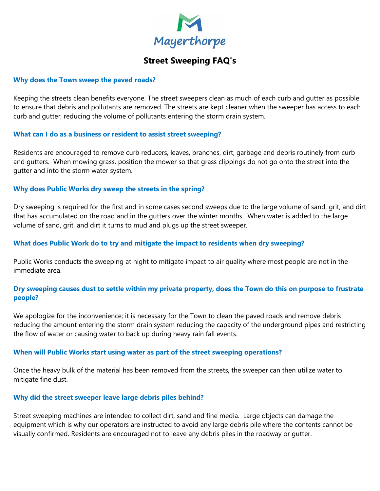

# **Street Sweeping FAQ's**

#### **Why does the Town sweep the paved roads?**

Keeping the streets clean benefits everyone. The street sweepers clean as much of each curb and gutter as possible to ensure that debris and pollutants are removed. The streets are kept cleaner when the sweeper has access to each curb and gutter, reducing the volume of pollutants entering the storm drain system.

# **What can I do as a business or resident to assist street sweeping?**

Residents are encouraged to remove curb reducers, leaves, branches, dirt, garbage and debris routinely from curb and gutters. When mowing grass, position the mower so that grass clippings do not go onto the street into the gutter and into the storm water system.

# **Why does Public Works dry sweep the streets in the spring?**

Dry sweeping is required for the first and in some cases second sweeps due to the large volume of sand, grit, and dirt that has accumulated on the road and in the gutters over the winter months. When water is added to the large volume of sand, grit, and dirt it turns to mud and plugs up the street sweeper.

## **What does Public Work do to try and mitigate the impact to residents when dry sweeping?**

Public Works conducts the sweeping at night to mitigate impact to air quality where most people are not in the immediate area.

# **Dry sweeping causes dust to settle within my private property, does the Town do this on purpose to frustrate people?**

We apologize for the inconvenience; it is necessary for the Town to clean the paved roads and remove debris reducing the amount entering the storm drain system reducing the capacity of the underground pipes and restricting the flow of water or causing water to back up during heavy rain fall events.

#### **When will Public Works start using water as part of the street sweeping operations?**

Once the heavy bulk of the material has been removed from the streets, the sweeper can then utilize water to mitigate fine dust.

#### **Why did the street sweeper leave large debris piles behind?**

Street sweeping machines are intended to collect dirt, sand and fine media. Large objects can damage the equipment which is why our operators are instructed to avoid any large debris pile where the contents cannot be visually confirmed. Residents are encouraged not to leave any debris piles in the roadway or gutter.